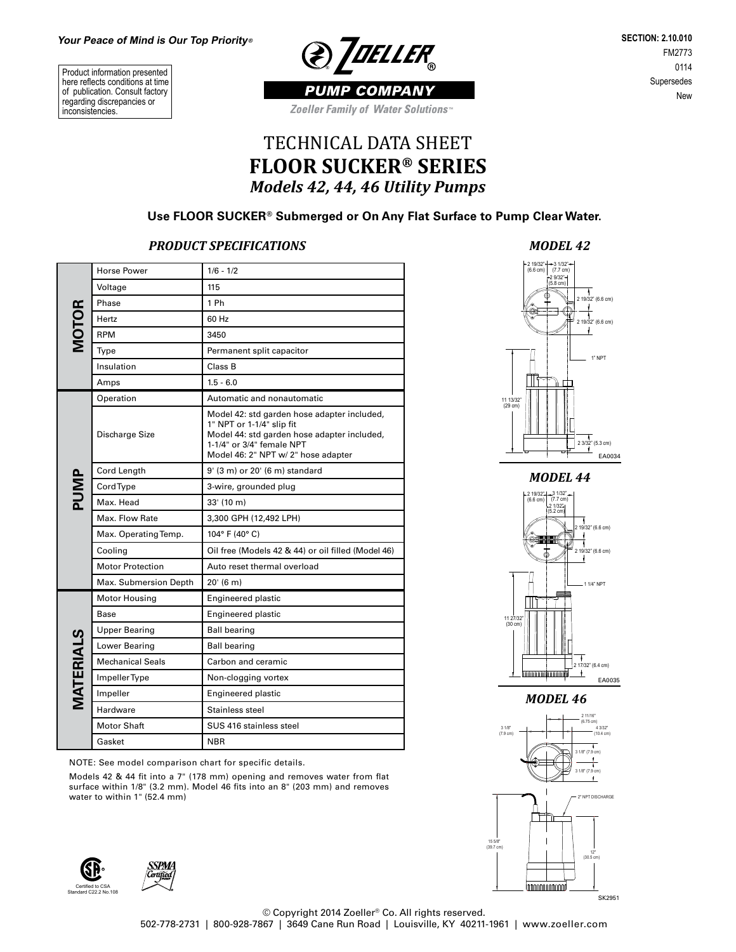Product information presented here reflects conditions at time of publication. Consult factory regarding discrepancies or inconsistencies.



**SECTION: 2.10.010** FM2773 0114 Supersedes New

*PUMP COMPANY* **Zoeller Family of Water Solutions** 

## TECHNICAL DATA SHEET **FLOOR SUCKER® SERIES** *Models 42, 44, 46 Utility Pumps*

## **Use FLOOR SUCKER® Submerged or On Any Flat Surface to Pump Clear Water.**

## *PRODUCT SPECIFICATIONS*

|                  | <b>Horse Power</b>      | $1/6 - 1/2$                                                                                                                                                                                 |  |  |  |  |  |  |
|------------------|-------------------------|---------------------------------------------------------------------------------------------------------------------------------------------------------------------------------------------|--|--|--|--|--|--|
|                  | Voltage                 | 115                                                                                                                                                                                         |  |  |  |  |  |  |
|                  | Phase                   | 1 Ph                                                                                                                                                                                        |  |  |  |  |  |  |
| <b>MOTOR</b>     | Hertz                   | 60 Hz                                                                                                                                                                                       |  |  |  |  |  |  |
|                  | <b>RPM</b>              | 3450                                                                                                                                                                                        |  |  |  |  |  |  |
|                  | Type                    | Permanent split capacitor                                                                                                                                                                   |  |  |  |  |  |  |
|                  | Insulation              | Class B                                                                                                                                                                                     |  |  |  |  |  |  |
|                  | Amps                    | $1.5 - 6.0$                                                                                                                                                                                 |  |  |  |  |  |  |
|                  | Operation               | Automatic and nonautomatic                                                                                                                                                                  |  |  |  |  |  |  |
|                  | Discharge Size          | Model 42: std garden hose adapter included,<br>1" NPT or 1-1/4" slip fit<br>Model 44: std garden hose adapter included,<br>1-1/4" or 3/4" female NPT<br>Model 46: 2" NPT w/ 2" hose adapter |  |  |  |  |  |  |
|                  | Cord Length             | 9' (3 m) or 20' (6 m) standard                                                                                                                                                              |  |  |  |  |  |  |
| PUMP             | Cord Type               | 3-wire, grounded plug                                                                                                                                                                       |  |  |  |  |  |  |
|                  | Max. Head               | $33'$ (10 m)                                                                                                                                                                                |  |  |  |  |  |  |
|                  | Max. Flow Rate          | 3,300 GPH (12,492 LPH)                                                                                                                                                                      |  |  |  |  |  |  |
|                  | Max. Operating Temp.    | 104° F (40° C)                                                                                                                                                                              |  |  |  |  |  |  |
|                  | Cooling                 | Oil free (Models 42 & 44) or oil filled (Model 46)                                                                                                                                          |  |  |  |  |  |  |
|                  | <b>Motor Protection</b> | Auto reset thermal overload                                                                                                                                                                 |  |  |  |  |  |  |
|                  | Max. Submersion Depth   | 20'(6 m)                                                                                                                                                                                    |  |  |  |  |  |  |
|                  | Motor Housing           | Engineered plastic                                                                                                                                                                          |  |  |  |  |  |  |
|                  | Base                    | Engineered plastic                                                                                                                                                                          |  |  |  |  |  |  |
|                  | <b>Upper Bearing</b>    | <b>Ball bearing</b>                                                                                                                                                                         |  |  |  |  |  |  |
|                  | Lower Bearing           | <b>Ball bearing</b>                                                                                                                                                                         |  |  |  |  |  |  |
|                  | <b>Mechanical Seals</b> | Carbon and ceramic                                                                                                                                                                          |  |  |  |  |  |  |
|                  | Impeller Type           | Non-clogging vortex                                                                                                                                                                         |  |  |  |  |  |  |
| <b>MATERIALS</b> | Impeller                | Engineered plastic                                                                                                                                                                          |  |  |  |  |  |  |
|                  | Hardware                | Stainless steel                                                                                                                                                                             |  |  |  |  |  |  |
|                  | <b>Motor Shaft</b>      | SUS 416 stainless steel                                                                                                                                                                     |  |  |  |  |  |  |
|                  | Gasket                  | NBR                                                                                                                                                                                         |  |  |  |  |  |  |

NOTE: See model comparison chart for specific details.

Models 42 & 44 fit into a 7" (178 mm) opening and removes water from flat surface within 1/8" (3.2 mm). Model 46 fits into an 8" (203 mm) and removes water to within 1" (52.4 mm)









*MODEL 44*



*MODEL 46*